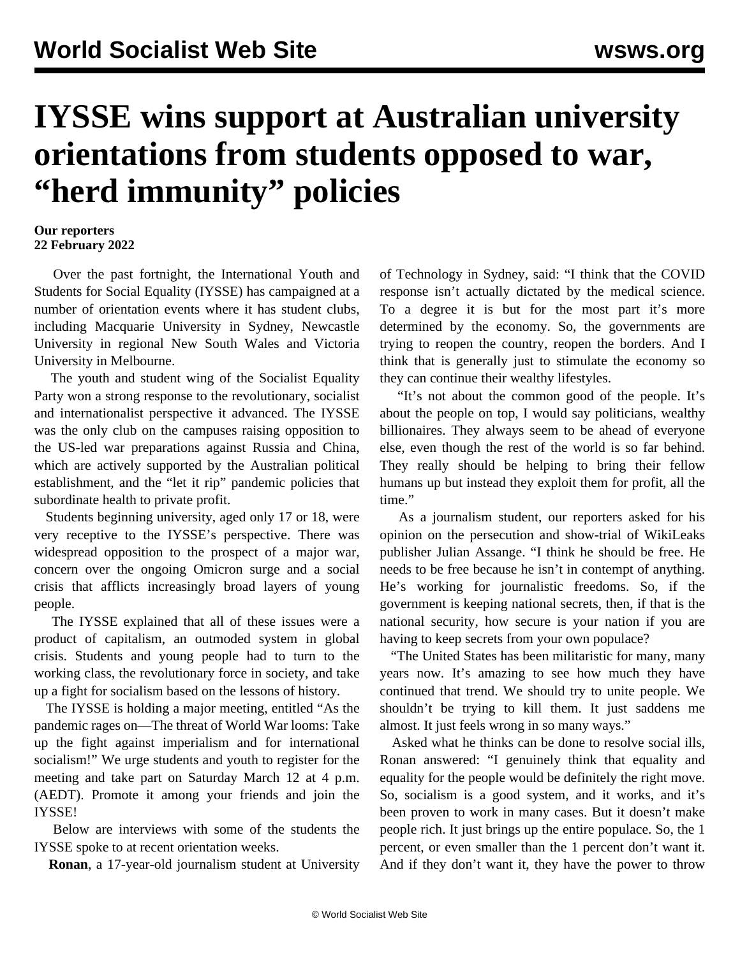## **IYSSE wins support at Australian university orientations from students opposed to war, "herd immunity" policies**

## **Our reporters 22 February 2022**

 Over the past fortnight, the International Youth and Students for Social Equality (IYSSE) has campaigned at a number of orientation events where it has student clubs, including Macquarie University in Sydney, Newcastle University in regional New South Wales and Victoria University in Melbourne.

 The youth and student wing of the Socialist Equality Party won a strong response to the revolutionary, socialist and internationalist perspective it advanced. The IYSSE was the only club on the campuses raising opposition to the US-led war preparations against Russia and China, which are actively supported by the Australian political establishment, and the "let it rip" pandemic policies that subordinate health to private profit.

 Students beginning university, aged only 17 or 18, were very receptive to the IYSSE's perspective. There was widespread opposition to the prospect of a major war, concern over the ongoing Omicron surge and a social crisis that afflicts increasingly broad layers of young people.

 The IYSSE explained that all of these issues were a product of capitalism, an outmoded system in global crisis. Students and young people had to turn to the working class, the revolutionary force in society, and take up a fight for socialism based on the lessons of history.

 The IYSSE is holding a major meeting, entitled "As the pandemic rages on—The threat of World War looms: Take up the fight against imperialism and for international socialism!" We urge students and youth to [register for the](https://us06web.zoom.us/webinar/register/WN_BcVL0fDVTDyHObXC5yJgZA) [meeting](https://us06web.zoom.us/webinar/register/WN_BcVL0fDVTDyHObXC5yJgZA) and take part on Saturday March 12 at 4 p.m. (AEDT). Promote it among your friends and join the IYSSE!

 Below are interviews with some of the students the IYSSE spoke to at recent orientation weeks.

**Ronan**, a 17-year-old journalism student at University

of Technology in Sydney, said: "I think that the COVID response isn't actually dictated by the medical science. To a degree it is but for the most part it's more determined by the economy. So, the governments are trying to reopen the country, reopen the borders. And I think that is generally just to stimulate the economy so they can continue their wealthy lifestyles.

 "It's not about the common good of the people. It's about the people on top, I would say politicians, wealthy billionaires. They always seem to be ahead of everyone else, even though the rest of the world is so far behind. They really should be helping to bring their fellow humans up but instead they exploit them for profit, all the time."

 As a journalism student, our reporters asked for his opinion on the persecution and show-trial of WikiLeaks publisher Julian Assange. "I think he should be free. He needs to be free because he isn't in contempt of anything. He's working for journalistic freedoms. So, if the government is keeping national secrets, then, if that is the national security, how secure is your nation if you are having to keep secrets from your own populace?

 "The United States has been militaristic for many, many years now. It's amazing to see how much they have continued that trend. We should try to unite people. We shouldn't be trying to kill them. It just saddens me almost. It just feels wrong in so many ways."

 Asked what he thinks can be done to resolve social ills, Ronan answered: "I genuinely think that equality and equality for the people would be definitely the right move. So, socialism is a good system, and it works, and it's been proven to work in many cases. But it doesn't make people rich. It just brings up the entire populace. So, the 1 percent, or even smaller than the 1 percent don't want it. And if they don't want it, they have the power to throw